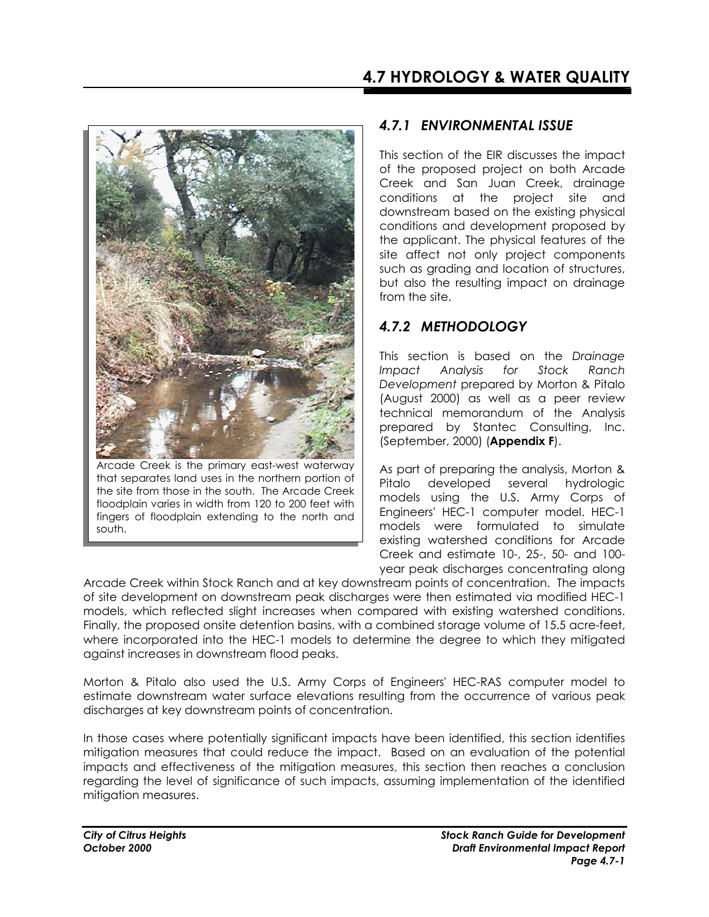

Arcade Creek is the primary east-west waterway that separates land uses in the northern portion of the site from those in the south. The Arcade Creek floodplain varies in width from 120 to 200 feet with fingers of floodplain extending to the north and south.

## *4.7.1 ENVIRONMENTAL ISSUE*

This section of the EIR discusses the impact of the proposed project on both Arcade Creek and San Juan Creek, drainage conditions at the project site and downstream based on the existing physical conditions and development proposed by the applicant. The physical features of the site affect not only project components such as grading and location of structures, but also the resulting impact on drainage from the site.

# *4.7.2 METHODOLOGY*

This section is based on the *Drainage Impact Analysis for Stock Ranch Development* prepared by Morton & Pitalo (August 2000) as well as a peer review technical memorandum of the Analysis prepared by Stantec Consulting, Inc. (September, 2000) (**Appendix F**).

As part of preparing the analysis, Morton & Pitalo developed several hydrologic models using the U.S. Army Corps of Engineers' HEC-1 computer model. HEC-1 models were formulated to simulate existing watershed conditions for Arcade Creek and estimate 10-, 25-, 50- and 100 year peak discharges concentrating along

Arcade Creek within Stock Ranch and at key downstream points of concentration. The impacts of site development on downstream peak discharges were then estimated via modified HEC-1 models, which reflected slight increases when compared with existing watershed conditions. Finally, the proposed onsite detention basins, with a combined storage volume of 15.5 acre-feet, where incorporated into the HEC-1 models to determine the degree to which they mitigated against increases in downstream flood peaks.

Morton & Pitalo also used the U.S. Army Corps of Engineers' HEC-RAS computer model to estimate downstream water surface elevations resulting from the occurrence of various peak discharges at key downstream points of concentration.

In those cases where potentially significant impacts have been identified, this section identifies mitigation measures that could reduce the impact. Based on an evaluation of the potential impacts and effectiveness of the mitigation measures, this section then reaches a conclusion regarding the level of significance of such impacts, assuming implementation of the identified mitigation measures.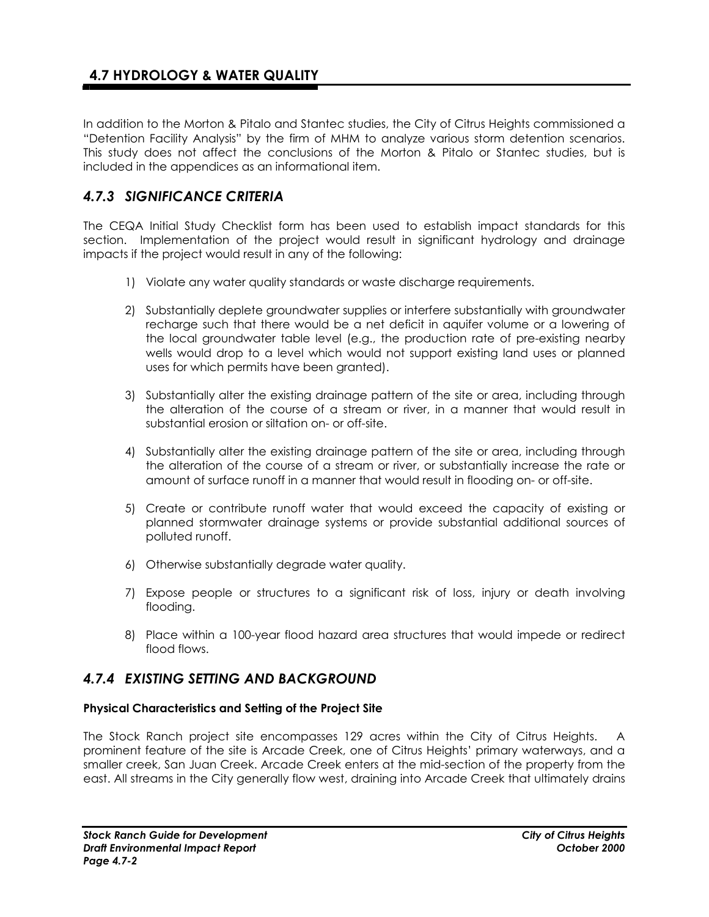In addition to the Morton & Pitalo and Stantec studies, the City of Citrus Heights commissioned a "Detention Facility Analysis" by the firm of MHM to analyze various storm detention scenarios. This study does not affect the conclusions of the Morton & Pitalo or Stantec studies, but is included in the appendices as an informational item.

# *4.7.3 SIGNIFICANCE CRITERIA*

The CEQA Initial Study Checklist form has been used to establish impact standards for this section. Implementation of the project would result in significant hydrology and drainage impacts if the project would result in any of the following:

- 1) Violate any water quality standards or waste discharge requirements.
- 2) Substantially deplete groundwater supplies or interfere substantially with groundwater recharge such that there would be a net deficit in aquifer volume or a lowering of the local groundwater table level (e.g., the production rate of pre-existing nearby wells would drop to a level which would not support existing land uses or planned uses for which permits have been granted).
- 3) Substantially alter the existing drainage pattern of the site or area, including through the alteration of the course of a stream or river, in a manner that would result in substantial erosion or siltation on- or off-site.
- 4) Substantially alter the existing drainage pattern of the site or area, including through the alteration of the course of a stream or river, or substantially increase the rate or amount of surface runoff in a manner that would result in flooding on- or off-site.
- 5) Create or contribute runoff water that would exceed the capacity of existing or planned stormwater drainage systems or provide substantial additional sources of polluted runoff.
- 6) Otherwise substantially degrade water quality.
- 7) Expose people or structures to a significant risk of loss, injury or death involving flooding.
- 8) Place within a 100-year flood hazard area structures that would impede or redirect flood flows.

# *4.7.4 EXISTING SETTING AND BACKGROUND*

### **Physical Characteristics and Setting of the Project Site**

The Stock Ranch project site encompasses 129 acres within the City of Citrus Heights. A prominent feature of the site is Arcade Creek, one of Citrus Heights' primary waterways, and a smaller creek, San Juan Creek. Arcade Creek enters at the mid-section of the property from the east. All streams in the City generally flow west, draining into Arcade Creek that ultimately drains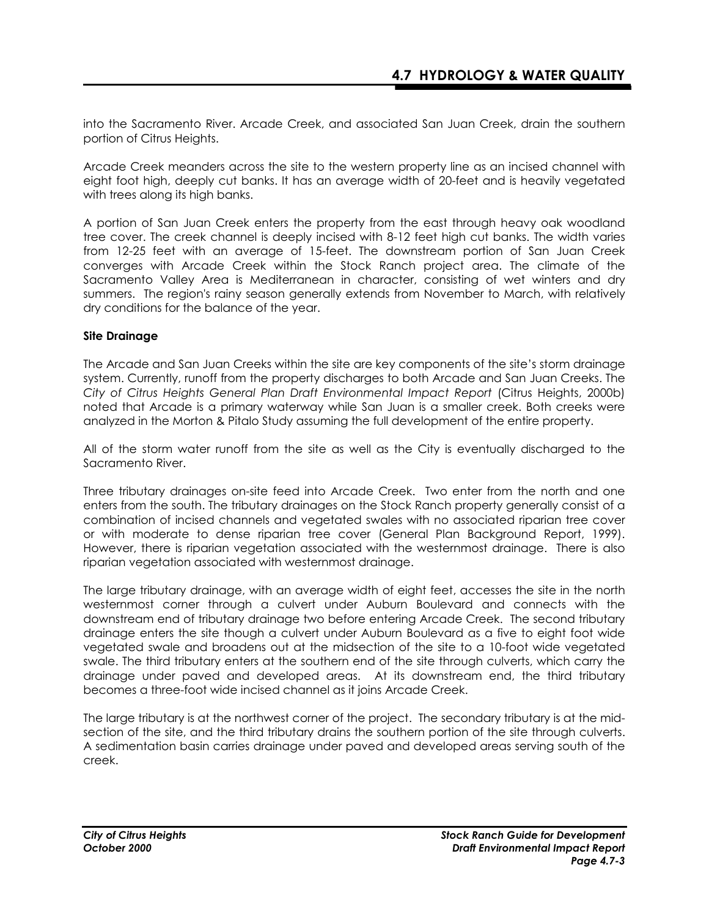into the Sacramento River. Arcade Creek, and associated San Juan Creek, drain the southern portion of Citrus Heights.

Arcade Creek meanders across the site to the western property line as an incised channel with eight foot high, deeply cut banks. It has an average width of 20-feet and is heavily vegetated with trees along its high banks.

A portion of San Juan Creek enters the property from the east through heavy oak woodland tree cover. The creek channel is deeply incised with 8-12 feet high cut banks. The width varies from 12-25 feet with an average of 15-feet. The downstream portion of San Juan Creek converges with Arcade Creek within the Stock Ranch project area. The climate of the Sacramento Valley Area is Mediterranean in character, consisting of wet winters and dry summers. The region's rainy season generally extends from November to March, with relatively dry conditions for the balance of the year.

### **Site Drainage**

The Arcade and San Juan Creeks within the site are key components of the site's storm drainage system. Currently, runoff from the property discharges to both Arcade and San Juan Creeks. The *City of Citrus Heights General Plan Draft Environmental Impact Report* (Citrus Heights, 2000b) noted that Arcade is a primary waterway while San Juan is a smaller creek. Both creeks were analyzed in the Morton & Pitalo Study assuming the full development of the entire property.

All of the storm water runoff from the site as well as the City is eventually discharged to the Sacramento River.

Three tributary drainages on-site feed into Arcade Creek. Two enter from the north and one enters from the south. The tributary drainages on the Stock Ranch property generally consist of a combination of incised channels and vegetated swales with no associated riparian tree cover or with moderate to dense riparian tree cover (General Plan Background Report, 1999). However, there is riparian vegetation associated with the westernmost drainage. There is also riparian vegetation associated with westernmost drainage.

The large tributary drainage, with an average width of eight feet, accesses the site in the north westernmost corner through a culvert under Auburn Boulevard and connects with the downstream end of tributary drainage two before entering Arcade Creek. The second tributary drainage enters the site though a culvert under Auburn Boulevard as a five to eight foot wide vegetated swale and broadens out at the midsection of the site to a 10-foot wide vegetated swale. The third tributary enters at the southern end of the site through culverts, which carry the drainage under paved and developed areas. At its downstream end, the third tributary becomes a three-foot wide incised channel as it joins Arcade Creek.

The large tributary is at the northwest corner of the project. The secondary tributary is at the midsection of the site, and the third tributary drains the southern portion of the site through culverts. A sedimentation basin carries drainage under paved and developed areas serving south of the creek.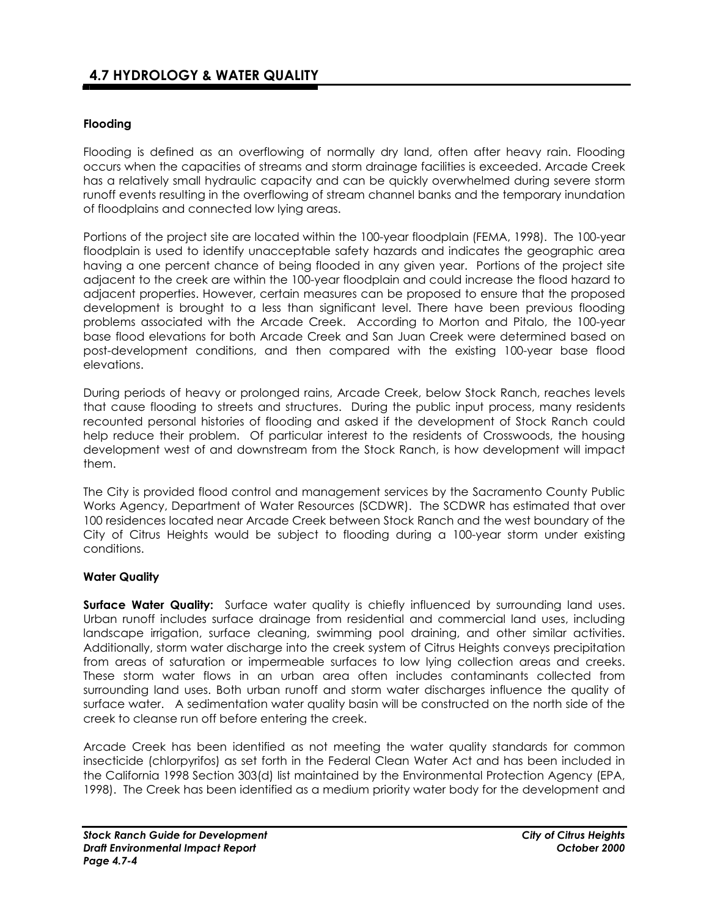## **Flooding**

Flooding is defined as an overflowing of normally dry land, often after heavy rain. Flooding occurs when the capacities of streams and storm drainage facilities is exceeded. Arcade Creek has a relatively small hydraulic capacity and can be quickly overwhelmed during severe storm runoff events resulting in the overflowing of stream channel banks and the temporary inundation of floodplains and connected low lying areas.

Portions of the project site are located within the 100-year floodplain (FEMA, 1998). The 100-year floodplain is used to identify unacceptable safety hazards and indicates the geographic area having a one percent chance of being flooded in any given year. Portions of the project site adjacent to the creek are within the 100-year floodplain and could increase the flood hazard to adjacent properties. However, certain measures can be proposed to ensure that the proposed development is brought to a less than significant level. There have been previous flooding problems associated with the Arcade Creek. According to Morton and Pitalo, the 100-year base flood elevations for both Arcade Creek and San Juan Creek were determined based on post-development conditions, and then compared with the existing 100-year base flood elevations.

During periods of heavy or prolonged rains, Arcade Creek, below Stock Ranch, reaches levels that cause flooding to streets and structures. During the public input process, many residents recounted personal histories of flooding and asked if the development of Stock Ranch could help reduce their problem. Of particular interest to the residents of Crosswoods, the housing development west of and downstream from the Stock Ranch, is how development will impact them.

The City is provided flood control and management services by the Sacramento County Public Works Agency, Department of Water Resources (SCDWR). The SCDWR has estimated that over 100 residences located near Arcade Creek between Stock Ranch and the west boundary of the City of Citrus Heights would be subject to flooding during a 100-year storm under existing conditions.

### **Water Quality**

**Surface Water Quality:** Surface water quality is chiefly influenced by surrounding land uses. Urban runoff includes surface drainage from residential and commercial land uses, including landscape irrigation, surface cleaning, swimming pool draining, and other similar activities. Additionally, storm water discharge into the creek system of Citrus Heights conveys precipitation from areas of saturation or impermeable surfaces to low lying collection areas and creeks. These storm water flows in an urban area often includes contaminants collected from surrounding land uses. Both urban runoff and storm water discharges influence the quality of surface water. A sedimentation water quality basin will be constructed on the north side of the creek to cleanse run off before entering the creek.

Arcade Creek has been identified as not meeting the water quality standards for common insecticide (chlorpyrifos) as set forth in the Federal Clean Water Act and has been included in the California 1998 Section 303(d) list maintained by the Environmental Protection Agency (EPA, 1998). The Creek has been identified as a medium priority water body for the development and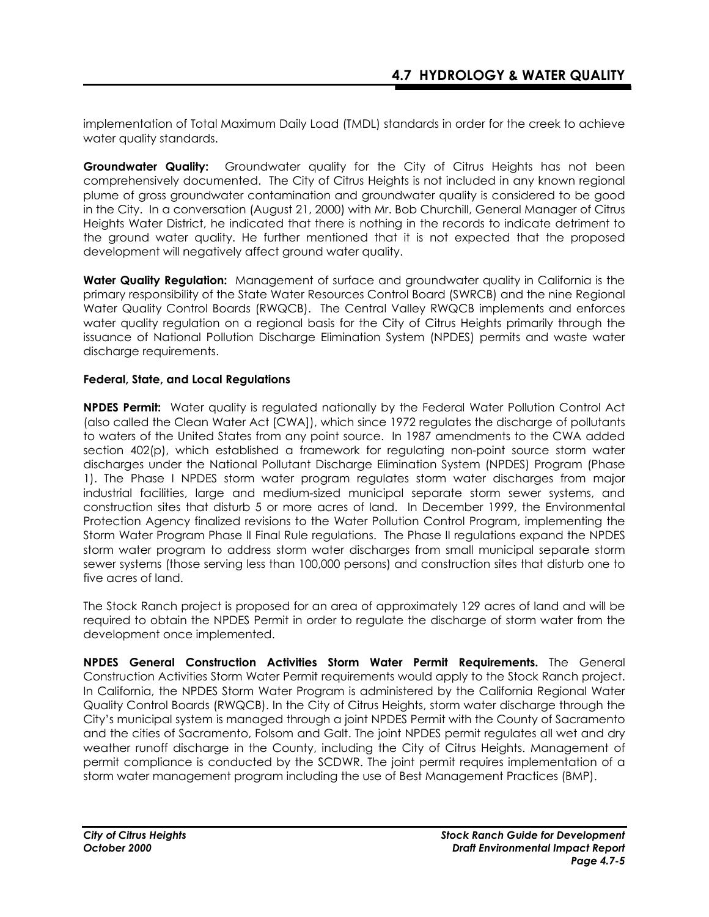implementation of Total Maximum Daily Load (TMDL) standards in order for the creek to achieve water quality standards.

**Groundwater Quality:** Groundwater quality for the City of Citrus Heights has not been comprehensively documented. The City of Citrus Heights is not included in any known regional plume of gross groundwater contamination and groundwater quality is considered to be good in the City. In a conversation (August 21, 2000) with Mr. Bob Churchill, General Manager of Citrus Heights Water District, he indicated that there is nothing in the records to indicate detriment to the ground water quality. He further mentioned that it is not expected that the proposed development will negatively affect ground water quality.

**Water Quality Regulation:**Management of surface and groundwater quality in California is the primary responsibility of the State Water Resources Control Board (SWRCB) and the nine Regional Water Quality Control Boards (RWQCB). The Central Valley RWQCB implements and enforces water quality regulation on a regional basis for the City of Citrus Heights primarily through the issuance of National Pollution Discharge Elimination System (NPDES) permits and waste water discharge requirements.

### **Federal, State, and Local Regulations**

**NPDES Permit:** Water quality is regulated nationally by the Federal Water Pollution Control Act (also called the Clean Water Act [CWA]), which since 1972 regulates the discharge of pollutants to waters of the United States from any point source. In 1987 amendments to the CWA added section 402(p), which established a framework for regulating non-point source storm water discharges under the National Pollutant Discharge Elimination System (NPDES) Program (Phase 1). The Phase I NPDES storm water program regulates storm water discharges from major industrial facilities, large and medium-sized municipal separate storm sewer systems, and construction sites that disturb 5 or more acres of land. In December 1999, the Environmental Protection Agency finalized revisions to the Water Pollution Control Program, implementing the Storm Water Program Phase II Final Rule regulations. The Phase II regulations expand the NPDES storm water program to address storm water discharges from small municipal separate storm sewer systems (those serving less than 100,000 persons) and construction sites that disturb one to five acres of land.

The Stock Ranch project is proposed for an area of approximately 129 acres of land and will be required to obtain the NPDES Permit in order to regulate the discharge of storm water from the development once implemented.

**NPDES General Construction Activities Storm Water Permit Requirements.** The General Construction Activities Storm Water Permit requirements would apply to the Stock Ranch project. In California, the NPDES Storm Water Program is administered by the California Regional Water Quality Control Boards (RWQCB). In the City of Citrus Heights, storm water discharge through the City's municipal system is managed through a joint NPDES Permit with the County of Sacramento and the cities of Sacramento, Folsom and Galt. The joint NPDES permit regulates all wet and dry weather runoff discharge in the County, including the City of Citrus Heights. Management of permit compliance is conducted by the SCDWR. The joint permit requires implementation of a storm water management program including the use of Best Management Practices (BMP).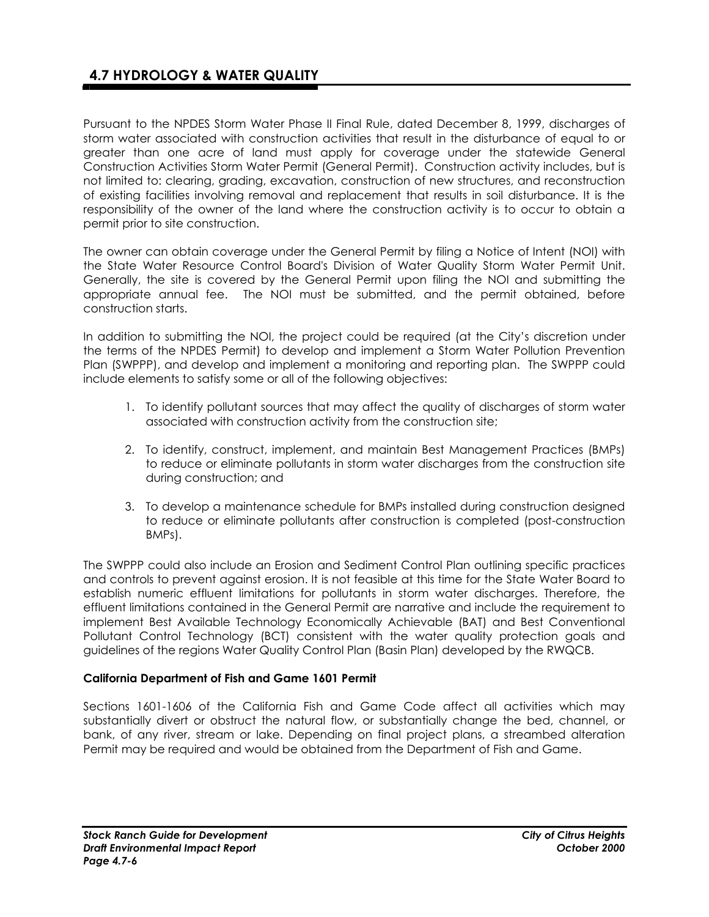Pursuant to the NPDES Storm Water Phase II Final Rule, dated December 8, 1999, discharges of storm water associated with construction activities that result in the disturbance of equal to or greater than one acre of land must apply for coverage under the statewide General Construction Activities Storm Water Permit (General Permit). Construction activity includes, but is not limited to: clearing, grading, excavation, construction of new structures, and reconstruction of existing facilities involving removal and replacement that results in soil disturbance. It is the responsibility of the owner of the land where the construction activity is to occur to obtain a permit prior to site construction.

The owner can obtain coverage under the General Permit by filing a Notice of Intent (NOI) with the State Water Resource Control Board's Division of Water Quality Storm Water Permit Unit. Generally, the site is covered by the General Permit upon filing the NOI and submitting the appropriate annual fee. The NOI must be submitted, and the permit obtained, before construction starts.

In addition to submitting the NOI, the project could be required (at the City's discretion under the terms of the NPDES Permit) to develop and implement a Storm Water Pollution Prevention Plan (SWPPP), and develop and implement a monitoring and reporting plan. The SWPPP could include elements to satisfy some or all of the following objectives:

- 1. To identify pollutant sources that may affect the quality of discharges of storm water associated with construction activity from the construction site;
- 2. To identify, construct, implement, and maintain Best Management Practices (BMPs) to reduce or eliminate pollutants in storm water discharges from the construction site during construction; and
- 3. To develop a maintenance schedule for BMPs installed during construction designed to reduce or eliminate pollutants after construction is completed (post-construction BMPs).

The SWPPP could also include an Erosion and Sediment Control Plan outlining specific practices and controls to prevent against erosion. It is not feasible at this time for the State Water Board to establish numeric effluent limitations for pollutants in storm water discharges. Therefore, the effluent limitations contained in the General Permit are narrative and include the requirement to implement Best Available Technology Economically Achievable (BAT) and Best Conventional Pollutant Control Technology (BCT) consistent with the water quality protection goals and guidelines of the regions Water Quality Control Plan (Basin Plan) developed by the RWQCB.

## **California Department of Fish and Game 1601 Permit**

Sections 1601-1606 of the California Fish and Game Code affect all activities which may substantially divert or obstruct the natural flow, or substantially change the bed, channel, or bank, of any river, stream or lake. Depending on final project plans, a streambed alteration Permit may be required and would be obtained from the Department of Fish and Game.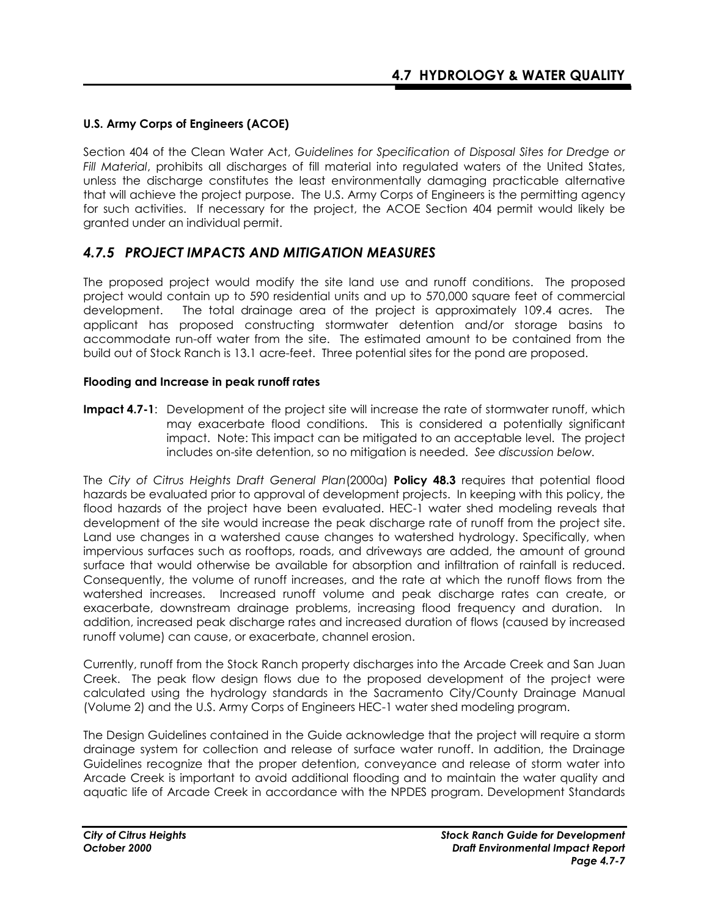## **U.S. Army Corps of Engineers (ACOE)**

Section 404 of the Clean Water Act, *Guidelines for Specification of Disposal Sites for Dredge or Fill Material*, prohibits all discharges of fill material into regulated waters of the United States, unless the discharge constitutes the least environmentally damaging practicable alternative that will achieve the project purpose. The U.S. Army Corps of Engineers is the permitting agency for such activities. If necessary for the project, the ACOE Section 404 permit would likely be granted under an individual permit.

## *4.7.5 PROJECT IMPACTS AND MITIGATION MEASURES*

The proposed project would modify the site land use and runoff conditions. The proposed project would contain up to 590 residential units and up to 570,000 square feet of commercial development. The total drainage area of the project is approximately 109.4 acres. The applicant has proposed constructing stormwater detention and/or storage basins to accommodate run-off water from the site. The estimated amount to be contained from the build out of Stock Ranch is 13.1 acre-feet. Three potential sites for the pond are proposed.

### **Flooding and Increase in peak runoff rates**

**Impact 4.7-1**: Development of the project site will increase the rate of stormwater runoff, which may exacerbate flood conditions. This is considered a potentially significant impact.Note: This impact can be mitigated to an acceptable level. The project includes on-site detention, so no mitigation is needed. *See discussion below.* 

The *City of Citrus Heights Draft General Plan*(2000a) **Policy 48.3** requires that potential flood hazards be evaluated prior to approval of development projects. In keeping with this policy, the flood hazards of the project have been evaluated. HEC-1 water shed modeling reveals that development of the site would increase the peak discharge rate of runoff from the project site. Land use changes in a watershed cause changes to watershed hydrology. Specifically, when impervious surfaces such as rooftops, roads, and driveways are added, the amount of ground surface that would otherwise be available for absorption and infiltration of rainfall is reduced. Consequently, the volume of runoff increases, and the rate at which the runoff flows from the watershed increases. Increased runoff volume and peak discharge rates can create, or exacerbate, downstream drainage problems, increasing flood frequency and duration. In addition, increased peak discharge rates and increased duration of flows (caused by increased runoff volume) can cause, or exacerbate, channel erosion.

Currently, runoff from the Stock Ranch property discharges into the Arcade Creek and San Juan Creek. The peak flow design flows due to the proposed development of the project were calculated using the hydrology standards in the Sacramento City/County Drainage Manual (Volume 2) and the U.S. Army Corps of Engineers HEC-1 water shed modeling program.

The Design Guidelines contained in the Guide acknowledge that the project will require a storm drainage system for collection and release of surface water runoff. In addition, the Drainage Guidelines recognize that the proper detention, conveyance and release of storm water into Arcade Creek is important to avoid additional flooding and to maintain the water quality and aquatic life of Arcade Creek in accordance with the NPDES program. Development Standards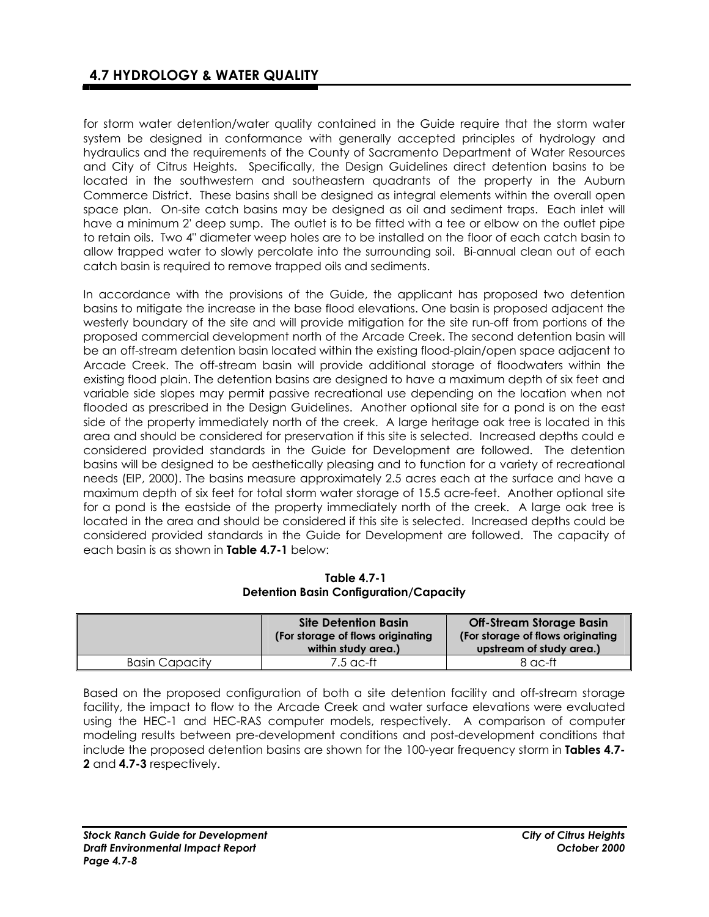for storm water detention/water quality contained in the Guide require that the storm water system be designed in conformance with generally accepted principles of hydrology and hydraulics and the requirements of the County of Sacramento Department of Water Resources and City of Citrus Heights. Specifically, the Design Guidelines direct detention basins to be located in the southwestern and southeastern quadrants of the property in the Auburn Commerce District. These basins shall be designed as integral elements within the overall open space plan. On-site catch basins may be designed as oil and sediment traps. Each inlet will have a minimum 2' deep sump. The outlet is to be fitted with a tee or elbow on the outlet pipe to retain oils. Two 4" diameter weep holes are to be installed on the floor of each catch basin to allow trapped water to slowly percolate into the surrounding soil. Bi-annual clean out of each catch basin is required to remove trapped oils and sediments.

In accordance with the provisions of the Guide, the applicant has proposed two detention basins to mitigate the increase in the base flood elevations. One basin is proposed adjacent the westerly boundary of the site and will provide mitigation for the site run-off from portions of the proposed commercial development north of the Arcade Creek. The second detention basin will be an off-stream detention basin located within the existing flood-plain/open space adjacent to Arcade Creek. The off-stream basin will provide additional storage of floodwaters within the existing flood plain. The detention basins are designed to have a maximum depth of six feet and variable side slopes may permit passive recreational use depending on the location when not flooded as prescribed in the Design Guidelines. Another optional site for a pond is on the east side of the property immediately north of the creek. A large heritage oak tree is located in this area and should be considered for preservation if this site is selected. Increased depths could e considered provided standards in the Guide for Development are followed. The detention basins will be designed to be aesthetically pleasing and to function for a variety of recreational needs (EIP, 2000). The basins measure approximately 2.5 acres each at the surface and have a maximum depth of six feet for total storm water storage of 15.5 acre-feet. Another optional site for a pond is the eastside of the property immediately north of the creek. A large oak tree is located in the area and should be considered if this site is selected. Increased depths could be considered provided standards in the Guide for Development are followed. The capacity of each basin is as shown in **Table 4.7-1** below:

 **Table 4.7-1 Detention Basin Configuration/Capacity** 

|                       | <b>Site Detention Basin</b><br>(For storage of flows originating<br>within study area.) | <b>Off-Stream Storage Basin</b><br>(For storage of flows originating)<br>upstream of study area.) |
|-----------------------|-----------------------------------------------------------------------------------------|---------------------------------------------------------------------------------------------------|
| <b>Basin Capacity</b> | 7.5 ac-ft                                                                               | 8 ac-ft                                                                                           |

Based on the proposed configuration of both a site detention facility and off-stream storage facility, the impact to flow to the Arcade Creek and water surface elevations were evaluated using the HEC-1 and HEC-RAS computer models, respectively. A comparison of computer modeling results between pre-development conditions and post-development conditions that include the proposed detention basins are shown for the 100-year frequency storm in **Tables 4.7- 2** and **4.7-3** respectively.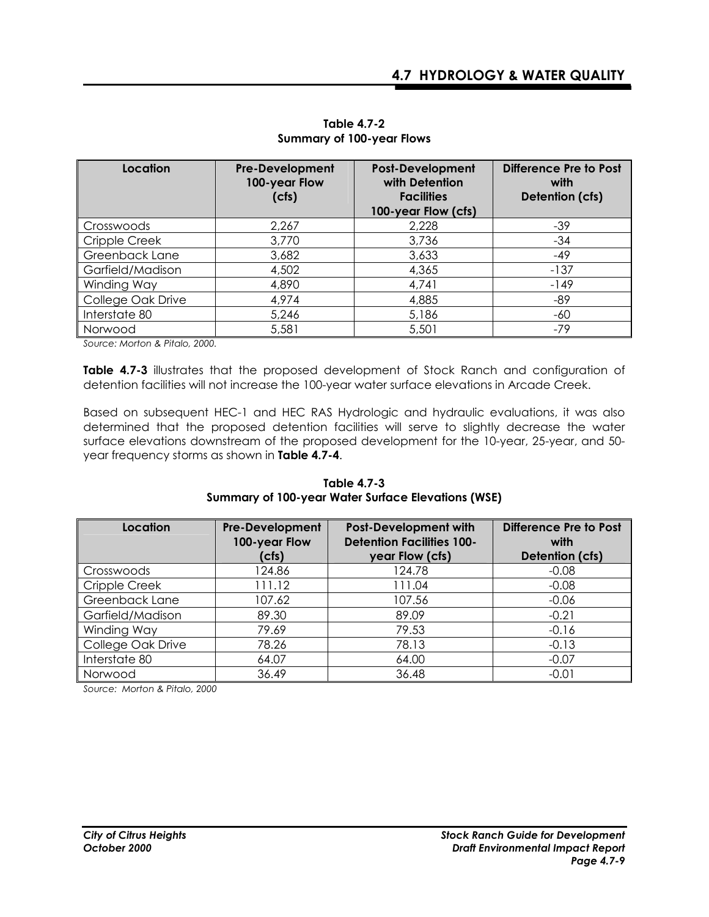| Location          | <b>Pre-Development</b><br>100-year Flow<br>(cfs) | <b>Post-Development</b><br>with Detention<br><b>Facilities</b><br>100-year Flow (cfs) | <b>Difference Pre to Post</b><br>with<br>Detention (cfs) |
|-------------------|--------------------------------------------------|---------------------------------------------------------------------------------------|----------------------------------------------------------|
| Crosswoods        | 2,267                                            | 2,228                                                                                 | $-39$                                                    |
| Cripple Creek     | 3,770                                            | 3,736                                                                                 | $-34$                                                    |
| Greenback Lane    | 3,682                                            | 3,633                                                                                 | $-49$                                                    |
| Garfield/Madison  | 4,502                                            | 4,365                                                                                 | $-137$                                                   |
| Winding Way       | 4,890                                            | 4,741                                                                                 | $-149$                                                   |
| College Oak Drive | 4,974                                            | 4,885                                                                                 | $-89$                                                    |
| Interstate 80     | 5,246                                            | 5,186                                                                                 | -60                                                      |
| Norwood           | 5,581                                            | 5,501                                                                                 | $-79$                                                    |

**Table 4.7-2 Summary of 100-year Flows**

*Source: Morton & Pitalo, 2000.* 

**Table 4.7-3** illustrates that the proposed development of Stock Ranch and configuration of detention facilities will not increase the 100-year water surface elevations in Arcade Creek.

Based on subsequent HEC-1 and HEC RAS Hydrologic and hydraulic evaluations, it was also determined that the proposed detention facilities will serve to slightly decrease the water surface elevations downstream of the proposed development for the 10-year, 25-year, and 50 year frequency storms as shown in **Table 4.7-4**.

| Location          | <b>Pre-Development</b><br>100-year Flow<br>(cfs) | <b>Post-Development with</b><br><b>Detention Facilities 100-</b><br>year Flow (cfs) | Difference Pre to Post<br>with<br>Detention (cfs) |
|-------------------|--------------------------------------------------|-------------------------------------------------------------------------------------|---------------------------------------------------|
| Crosswoods        | 124.86                                           | 124.78                                                                              | $-0.08$                                           |
| Cripple Creek     | 111.12                                           | 111.04                                                                              | $-0.08$                                           |
| Greenback Lane    | 107.62                                           | 107.56                                                                              | $-0.06$                                           |
| Garfield/Madison  | 89.30                                            | 89.09                                                                               | $-0.21$                                           |
| Winding Way       | 79.69                                            | 79.53                                                                               | $-0.16$                                           |
| College Oak Drive | 78.26                                            | 78.13                                                                               | $-0.13$                                           |
| Interstate 80     | 64.07                                            | 64.00                                                                               | $-0.07$                                           |
| Norwood           | 36.49                                            | 36.48                                                                               | $-0.01$                                           |

**Table 4.7-3 Summary of 100-year Water Surface Elevations (WSE)**

*Source: Morton & Pitalo, 2000*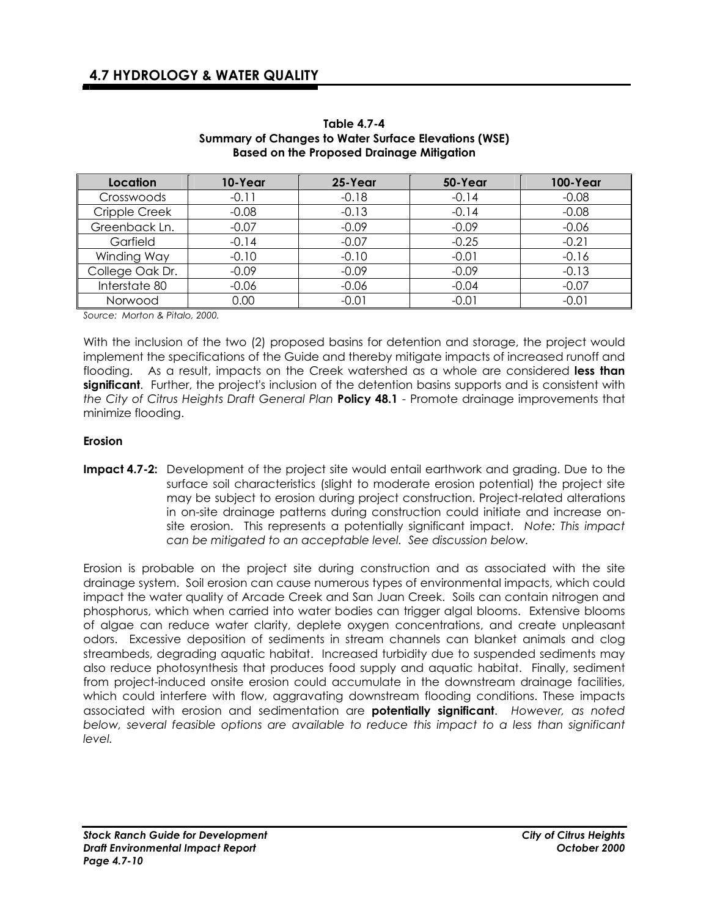| Location        | 10-Year | 25-Year | 50-Year | <b>100-Year</b> |
|-----------------|---------|---------|---------|-----------------|
| Crosswoods      | $-0.11$ | $-0.18$ | $-0.14$ | $-0.08$         |
| Cripple Creek   | $-0.08$ | $-0.13$ | $-0.14$ | $-0.08$         |
| Greenback Ln.   | $-0.07$ | $-0.09$ | $-0.09$ | $-0.06$         |
| Garfield        | $-0.14$ | $-0.07$ | $-0.25$ | $-0.21$         |
| Winding Way     | $-0.10$ | $-0.10$ | $-0.01$ | $-0.16$         |
| College Oak Dr. | $-0.09$ | $-0.09$ | $-0.09$ | $-0.13$         |
| Interstate 80   | $-0.06$ | $-0.06$ | $-0.04$ | $-0.07$         |
| Norwood         | 0.00    | $-0.01$ | $-0.01$ | $-0.01$         |

**Table 4.7-4 Summary of Changes to Water Surface Elevations (WSE) Based on the Proposed Drainage Mitigation** 

*Source: Morton & Pitalo, 2000.* 

With the inclusion of the two (2) proposed basins for detention and storage, the project would implement the specifications of the Guide and thereby mitigate impacts of increased runoff and flooding. As a result, impacts on the Creek watershed as a whole are considered **less than significant**. Further, the project's inclusion of the detention basins supports and is consistent with *the City of Citrus Heights Draft General Plan* **Policy 48.1** - Promote drainage improvements that minimize flooding.

#### **Erosion**

**Impact 4.7-2:** Development of the project site would entail earthwork and grading. Due to the surface soil characteristics (slight to moderate erosion potential) the project site may be subject to erosion during project construction. Project-related alterations in on-site drainage patterns during construction could initiate and increase onsite erosion. This represents a potentially significant impact. *Note: This impact can be mitigated to an acceptable level. See discussion below.* 

Erosion is probable on the project site during construction and as associated with the site drainage system. Soil erosion can cause numerous types of environmental impacts, which could impact the water quality of Arcade Creek and San Juan Creek. Soils can contain nitrogen and phosphorus, which when carried into water bodies can trigger algal blooms. Extensive blooms of algae can reduce water clarity, deplete oxygen concentrations, and create unpleasant odors. Excessive deposition of sediments in stream channels can blanket animals and clog streambeds, degrading aquatic habitat. Increased turbidity due to suspended sediments may also reduce photosynthesis that produces food supply and aquatic habitat. Finally, sediment from project-induced onsite erosion could accumulate in the downstream drainage facilities, which could interfere with flow, aggravating downstream flooding conditions. These impacts associated with erosion and sedimentation are **potentially significant**. *However, as noted below, several feasible options are available to reduce this impact to a less than significant level.*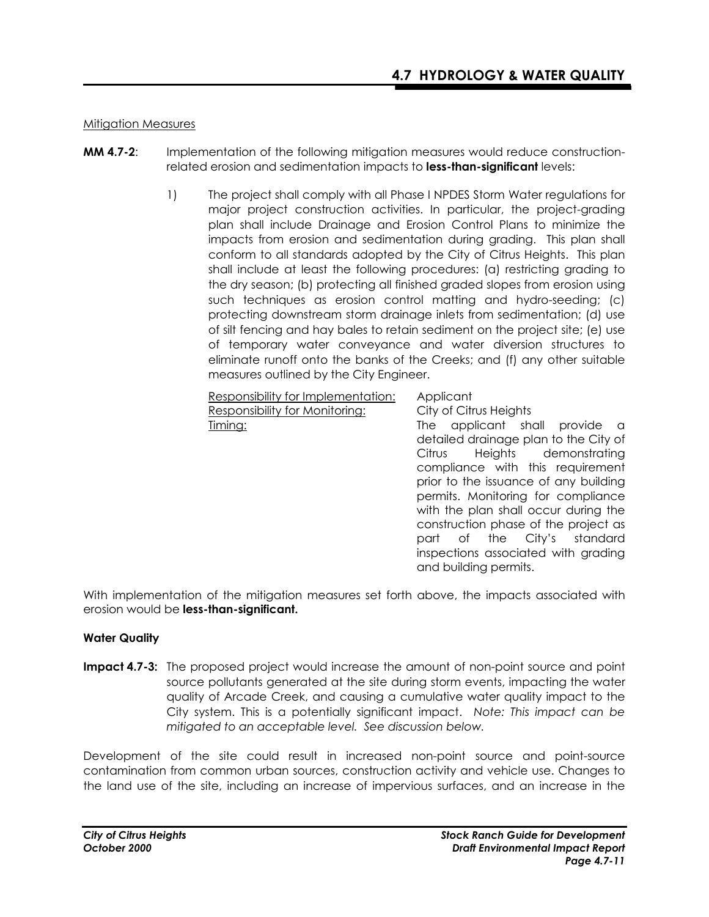### Mitigation Measures

- **MM 4.7-2**: Implementation of the following mitigation measures would reduce constructionrelated erosion and sedimentation impacts to **less-than-significant** levels:
	- 1) The project shall comply with all Phase I NPDES Storm Water regulations for major project construction activities. In particular, the project-grading plan shall include Drainage and Erosion Control Plans to minimize the impacts from erosion and sedimentation during grading. This plan shall conform to all standards adopted by the City of Citrus Heights. This plan shall include at least the following procedures: (a) restricting grading to the dry season; (b) protecting all finished graded slopes from erosion using such techniques as erosion control matting and hydro-seeding; (c) protecting downstream storm drainage inlets from sedimentation; (d) use of silt fencing and hay bales to retain sediment on the project site; (e) use of temporary water conveyance and water diversion structures to eliminate runoff onto the banks of the Creeks; and (f) any other suitable measures outlined by the City Engineer.

Responsibility for Implementation: Applicant Responsibility for Monitoring: City of Citrus Heights

Timing: The applicant shall provide a detailed drainage plan to the City of Citrus Heights demonstrating compliance with this requirement prior to the issuance of any building permits. Monitoring for compliance with the plan shall occur during the construction phase of the project as part of the City's standard inspections associated with grading and building permits.

With implementation of the mitigation measures set forth above, the impacts associated with erosion would be **less-than-significant.** 

### **Water Quality**

**Impact 4.7-3:** The proposed project would increase the amount of non-point source and point source pollutants generated at the site during storm events, impacting the water quality of Arcade Creek, and causing a cumulative water quality impact to the City system. This is a potentially significant impact. *Note: This impact can be mitigated to an acceptable level. See discussion below.*

Development of the site could result in increased non-point source and point-source contamination from common urban sources, construction activity and vehicle use. Changes to the land use of the site, including an increase of impervious surfaces, and an increase in the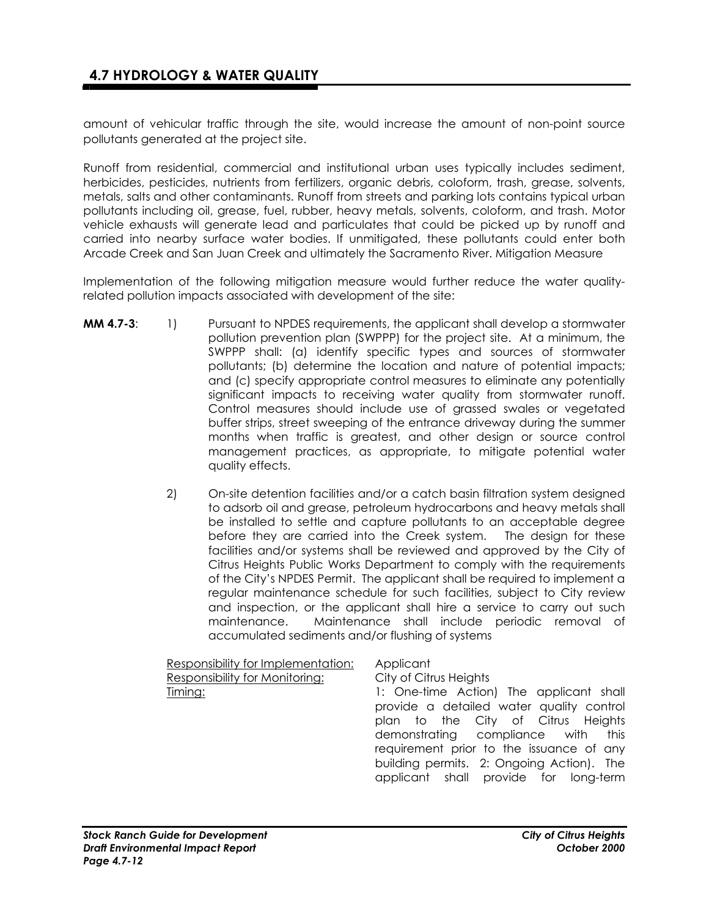amount of vehicular traffic through the site, would increase the amount of non-point source pollutants generated at the project site.

Runoff from residential, commercial and institutional urban uses typically includes sediment, herbicides, pesticides, nutrients from fertilizers, organic debris, coloform, trash, grease, solvents, metals, salts and other contaminants. Runoff from streets and parking lots contains typical urban pollutants including oil, grease, fuel, rubber, heavy metals, solvents, coloform, and trash. Motor vehicle exhausts will generate lead and particulates that could be picked up by runoff and carried into nearby surface water bodies. If unmitigated, these pollutants could enter both Arcade Creek and San Juan Creek and ultimately the Sacramento River. Mitigation Measure

Implementation of the following mitigation measure would further reduce the water qualityrelated pollution impacts associated with development of the site:

- **MM 4.7-3:** 1) Pursuant to NPDES requirements, the applicant shall develop a stormwater pollution prevention plan (SWPPP) for the project site. At a minimum, the SWPPP shall: (a) identify specific types and sources of stormwater pollutants; (b) determine the location and nature of potential impacts; and (c) specify appropriate control measures to eliminate any potentially significant impacts to receiving water quality from stormwater runoff. Control measures should include use of grassed swales or vegetated buffer strips, street sweeping of the entrance driveway during the summer months when traffic is greatest, and other design or source control management practices, as appropriate, to mitigate potential water quality effects.
	- 2) On-site detention facilities and/or a catch basin filtration system designed to adsorb oil and grease, petroleum hydrocarbons and heavy metals shall be installed to settle and capture pollutants to an acceptable degree before they are carried into the Creek system. The design for these facilities and/or systems shall be reviewed and approved by the City of Citrus Heights Public Works Department to comply with the requirements of the City's NPDES Permit. The applicant shall be required to implement a regular maintenance schedule for such facilities, subject to City review and inspection, or the applicant shall hire a service to carry out such maintenance. Maintenance shall include periodic removal of accumulated sediments and/or flushing of systems

| Responsibility for Implementation: | Applicant                                 |
|------------------------------------|-------------------------------------------|
| Responsibility for Monitoring:     | City of Citrus Heights                    |
| Timing:                            | 1: One-time Action) The applicant shall   |
|                                    | provide a detailed water quality control  |
|                                    | plan to the City of Citrus Heights        |
|                                    | demonstrating compliance with this        |
|                                    | requirement prior to the issuance of any  |
|                                    | building permits. 2: Ongoing Action). The |
|                                    | applicant shall provide for long-term     |